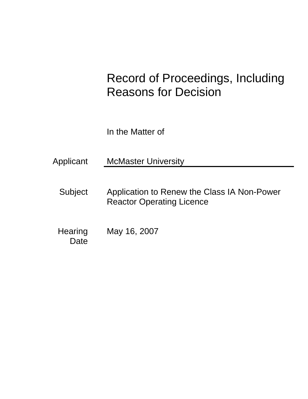# Record of Proceedings, Including Reasons for Decision

In the Matter of

Applicant McMaster University

Subject Application to Renew the Class IA Non-Power Reactor Operating Licence

**Hearing Date** May 16, 2007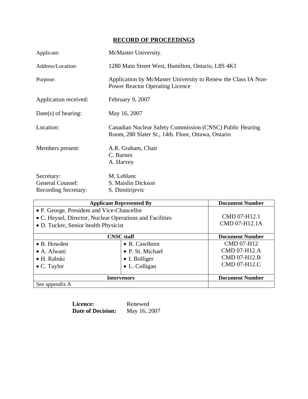## **RECORD OF PROCEEDINGS**

| Applicant:                                                           | McMaster University.                                                                                           |  |
|----------------------------------------------------------------------|----------------------------------------------------------------------------------------------------------------|--|
| Address/Location:                                                    | 1280 Main Street West, Hamilton, Ontario, L8S 4K1                                                              |  |
| Purpose:                                                             | Application by McMaster University to Renew the Class IA Non-<br><b>Power Reactor Operating Licence</b>        |  |
| Application received:                                                | February 9, 2007                                                                                               |  |
| $Date(s)$ of hearing:                                                | May 16, 2007                                                                                                   |  |
| Location:                                                            | Canadian Nuclear Safety Commission (CNSC) Public Hearing<br>Room, 280 Slater St., 14th. Floor, Ottawa, Ontario |  |
| Members present:                                                     | A.R. Graham, Chair<br>C. Barnes<br>A. Harvey                                                                   |  |
| Secretary:<br><b>General Counsel:</b><br><b>Recording Secretary:</b> | M. Leblanc<br>S. Maislin Dickson<br>S. Dimitrijevic                                                            |  |

| <b>Applicant Represented By</b>                                                                                                                |                       | <b>Document Number</b>        |
|------------------------------------------------------------------------------------------------------------------------------------------------|-----------------------|-------------------------------|
| • P. George, President and Vice-Chancellor<br>• C. Heysel, Director, Nuclear Operations and Facilities<br>• D. Tucker, Senior health Physicist |                       | CMD 07-H12.1<br>CMD 07-H12.1A |
| <b>CNSC</b> staff                                                                                                                              |                       | <b>Document Number</b>        |
| • B. Howden                                                                                                                                    | • R. Cawthorn         | <b>CMD 07-H12</b>             |
| $\bullet$ A. Alwani                                                                                                                            | • P. St. Michael      | CMD 07-H12.A                  |
| • H. Rabski                                                                                                                                    | • I. Bolliger         | CMD 07-H12.B                  |
| $\bullet$ C. Taylor                                                                                                                            | $\bullet$ L. Colligan | CMD 07-H12.C                  |
| <b>Intervenors</b>                                                                                                                             |                       | <b>Document Number</b>        |
| See appendix A                                                                                                                                 |                       |                               |

**Licence:** Renewed<br>Date of Decision: May 16, 2007 **Date of Decision:**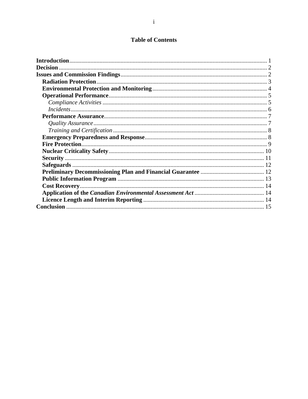## **Table of Contents**

| <b>Decision</b> |  |
|-----------------|--|
|                 |  |
|                 |  |
|                 |  |
|                 |  |
|                 |  |
|                 |  |
|                 |  |
|                 |  |
|                 |  |
|                 |  |
|                 |  |
|                 |  |
|                 |  |
|                 |  |
|                 |  |
|                 |  |
|                 |  |
|                 |  |
|                 |  |
|                 |  |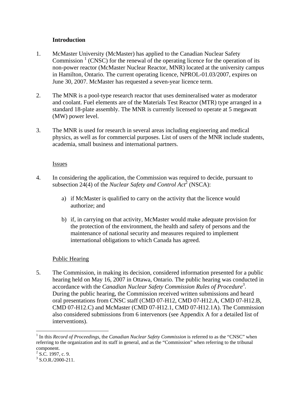### **Introduction**

- 1. McMaster University (McMaster) has applied to the Canadian Nuclear Safety Commission<sup>1</sup> (CNSC) for the renewal of the operating licence for the operation of its non-power reactor (McMaster Nuclear Reactor, MNR) located at the university campus in Hamilton, Ontario. The current operating licence, NPROL-01.03/2007, expires on June 30, 2007. McMaster has requested a seven-year licence term.
- 2. The MNR is a pool-type research reactor that uses demineralised water as moderator and coolant. Fuel elements are of the Materials Test Reactor (MTR) type arranged in a standard 18-plate assembly. The MNR is currently licensed to operate at 5 megawatt (MW) power level.
- 3. The MNR is used for research in several areas including engineering and medical physics, as well as for commercial purposes. List of users of the MNR include students, academia, small business and international partners.

#### Issues

- 4. In considering the application, the Commission was required to decide, pursuant to subsection 24(4) of the *Nuclear Safety and Control Act*<sup>2</sup> (NSCA):
	- a) if McMaster is qualified to carry on the activity that the licence would authorize; and
	- b) if, in carrying on that activity, McMaster would make adequate provision for the protection of the environment, the health and safety of persons and the maintenance of national security and measures required to implement international obligations to which Canada has agreed.

## Public Hearing

5. The Commission, in making its decision, considered information presented for a public hearing held on May 16, 2007 in Ottawa, Ontario. The public hearing was conducted in accordance with the *Canadian Nuclear Safety Commission Rules of Procedure*<sup>3</sup> . During the public hearing, the Commission received written submissions and heard oral presentations from CNSC staff (CMD 07-H12, CMD 07-H12.A, CMD 07-H12.B, CMD 07-H12.C) and McMaster (CMD 07-H12.1, CMD 07-H12.1A). The Commission also considered submissions from 6 intervenors (see Appendix A for a detailed list of interventions).

 $\overline{a}$ 

<sup>&</sup>lt;sup>1</sup> In this *Record of Proceedings*, the *Canadian Nuclear Safety Commission* is referred to as the "CNSC" when referring to the organization and its staff in general, and as the "Commission" when referring to the tribunal component.

 $^{2}$  S.C. 1997, c. 9.<br>  $^{3}$  S.O. B. (2000, 211)

 $3$  S.O.R./2000-211.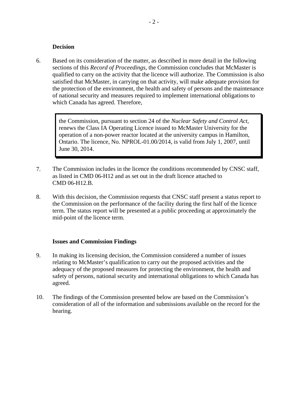#### **Decision**

6. Based on its consideration of the matter, as described in more detail in the following sections of this *Record of Proceedings*, the Commission concludes that McMaster is qualified to carry on the activity that the licence will authorize. The Commission is also satisfied that McMaster, in carrying on that activity, will make adequate provision for the protection of the environment, the health and safety of persons and the maintenance of national security and measures required to implement international obligations to which Canada has agreed. Therefore,

> the Commission, pursuant to section 24 of the *Nuclear Safety and Control Act*, renews the Class IA Operating Licence issued to McMaster University for the operation of a non-power reactor located at the university campus in Hamilton, Ontario. The licence, No. NPROL-01.00/2014, is valid from July 1, 2007, until June 30, 2014.

- 7. The Commission includes in the licence the conditions recommended by CNSC staff, as listed in CMD 06-H12 and as set out in the draft licence attached to CMD 06-H12.B.
- 8. With this decision, the Commission requests that CNSC staff present a status report to the Commission on the performance of the facility during the first half of the licence term. The status report will be presented at a public proceeding at approximately the mid-point of the licence term.

#### **Issues and Commission Findings**

- 9. In making its licensing decision, the Commission considered a number of issues relating to McMaster's qualification to carry out the proposed activities and the adequacy of the proposed measures for protecting the environment, the health and safety of persons, national security and international obligations to which Canada has agreed.
- 10. The findings of the Commission presented below are based on the Commission's consideration of all of the information and submissions available on the record for the hearing.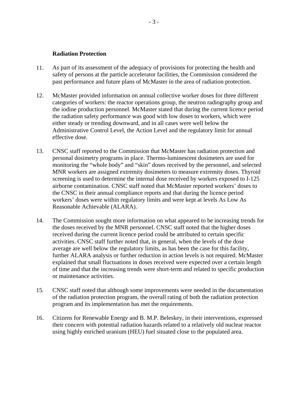#### **Radiation Protection**

- 11. As part of its assessment of the adequacy of provisions for protecting the health and safety of persons at the particle accelerator facilities, the Commission considered the past performance and future plans of McMaster in the area of radiation protection.
- 12. McMaster provided information on annual collective worker doses for three different categories of workers: the reactor operations group, the neutron radiography group and the iodine production personnel. McMaster stated that during the current licence period the radiation safety performance was good with low doses to workers, which were either steady or trending downward, and in all cases were well below the Administrative Control Level, the Action Level and the regulatory limit for annual effective dose.
- 13. CNSC staff reported to the Commission that McMaster has radiation protection and personal dosimetry programs in place. Thermo-luminescent dosimeters are used for monitoring the "whole body" and "skin" doses received by the personnel, and selected MNR workers are assigned extremity dosimeters to measure extremity doses. Thyroid screening is used to determine the internal dose received by workers exposed to I-125 airborne contamination. CNSC staff noted that McMaster reported workers' doses to the CNSC in their annual compliance reports and that during the licence period workers' doses were within regulatory limits and were kept at levels As Low As Reasonable Achievable (ALARA).
- 14. The Commission sought more information on what appeared to be increasing trends for the doses received by the MNR personnel. CNSC staff noted that the higher doses received during the current licence period could be attributed to certain specific activities. CNSC staff further noted that, in general, when the levels of the dose average are well below the regulatory limits, as has been the case for this facility, further ALARA analysis or further reduction in action levels is not required. McMaster explained that small fluctuations in doses received were expected over a certain length of time and that the increasing trends were short-term and related to specific production or maintenance activities.
- 15. CNSC staff noted that although some improvements were needed in the documentation of the radiation protection program, the overall rating of both the radiation protection program and its implementation has met the requirements.
- 16. Citizens for Renewable Energy and B. M.P. Beleskey, in their interventions, expressed their concern with potential radiation hazards related to a relatively old nuclear reactor using highly enriched uranium (HEU) fuel situated close to the populated area.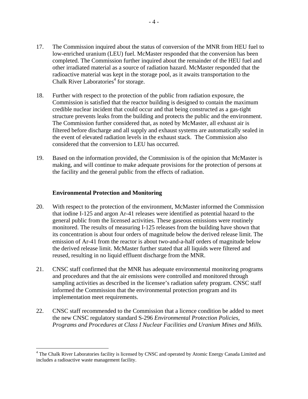- 17. The Commission inquired about the status of conversion of the MNR from HEU fuel to low-enriched uranium (LEU) fuel. McMaster responded that the conversion has been completed. The Commission further inquired about the remainder of the HEU fuel and other irradiated material as a source of radiation hazard. McMaster responded that the radioactive material was kept in the storage pool, as it awaits transportation to the Chalk River Laboratories<sup>4</sup> for storage.
- 18. Further with respect to the protection of the public from radiation exposure, the Commission is satisfied that the reactor building is designed to contain the maximum credible nuclear incident that could occur and that being constructed as a gas-tight structure prevents leaks from the building and protects the public and the environment. The Commission further considered that, as noted by McMaster, all exhaust air is filtered before discharge and all supply and exhaust systems are automatically sealed in the event of elevated radiation levels in the exhaust stack. The Commission also considered that the conversion to LEU has occurred.
- 19. Based on the information provided, the Commission is of the opinion that McMaster is making, and will continue to make adequate provisions for the protection of persons at the facility and the general public from the effects of radiation.

#### **Environmental Protection and Monitoring**

 $\overline{a}$ 

- 20. With respect to the protection of the environment, McMaster informed the Commission that iodine I-125 and argon Ar-41 releases were identified as potential hazard to the general public from the licensed activities. These gaseous emissions were routinely monitored. The results of measuring I-125 releases from the building have shown that its concentration is about four orders of magnitude below the derived release limit. The emission of Ar-41 from the reactor is about two-and-a-half orders of magnitude below the derived release limit. McMaster further stated that all liquids were filtered and reused, resulting in no liquid effluent discharge from the MNR.
- 21. CNSC staff confirmed that the MNR has adequate environmental monitoring programs and procedures and that the air emissions were controlled and monitored through sampling activities as described in the licensee's radiation safety program. CNSC staff informed the Commission that the environmental protection program and its implementation meet requirements.
- 22. CNSC staff recommended to the Commission that a licence condition be added to meet the new CNSC regulatory standard S-296 *Environmental Protection Policies, Programs and Procedures at Class I Nuclear Facilities and Uranium Mines and Mills.*

<sup>&</sup>lt;sup>4</sup> The Chalk River Laboratories facility is licensed by CNSC and operated by Atomic Energy Canada Limited and includes a radioactive waste management facility.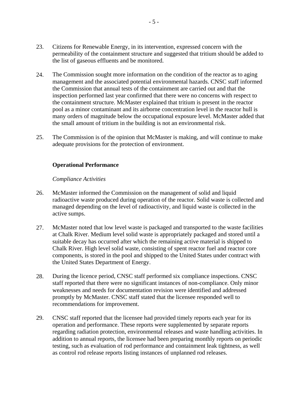- 23. Citizens for Renewable Energy, in its intervention, expressed concern with the permeability of the containment structure and suggested that tritium should be added to the list of gaseous effluents and be monitored.
- 24. The Commission sought more information on the condition of the reactor as to aging management and the associated potential environmental hazards. CNSC staff informed the Commission that annual tests of the containment are carried out and that the inspection performed last year confirmed that there were no concerns with respect to the containment structure. McMaster explained that tritium is present in the reactor pool as a minor contaminant and its airborne concentration level in the reactor hull is many orders of magnitude below the occupational exposure level. McMaster added that the small amount of tritium in the building is not an environmental risk.
- 25. The Commission is of the opinion that McMaster is making, and will continue to make adequate provisions for the protection of environment.

#### **Operational Performance**

#### *Compliance Activities*

- 26. McMaster informed the Commission on the management of solid and liquid radioactive waste produced during operation of the reactor. Solid waste is collected and managed depending on the level of radioactivity, and liquid waste is collected in the active sumps.
- 27. McMaster noted that low level waste is packaged and transported to the waste facilities at Chalk River. Medium level solid waste is appropriately packaged and stored until a suitable decay has occurred after which the remaining active material is shipped to Chalk River. High level solid waste, consisting of spent reactor fuel and reactor core components, is stored in the pool and shipped to the United States under contract with the United States Department of Energy.
- 28. During the licence period, CNSC staff performed six compliance inspections. CNSC staff reported that there were no significant instances of non-compliance. Only minor weaknesses and needs for documentation revision were identified and addressed promptly by McMaster. CNSC staff stated that the licensee responded well to recommendations for improvement.
- 29. CNSC staff reported that the licensee had provided timely reports each year for its operation and performance. These reports were supplemented by separate reports regarding radiation protection, environmental releases and waste handling activities. In addition to annual reports, the licensee had been preparing monthly reports on periodic testing, such as evaluation of rod performance and containment leak tightness, as well as control rod release reports listing instances of unplanned rod releases.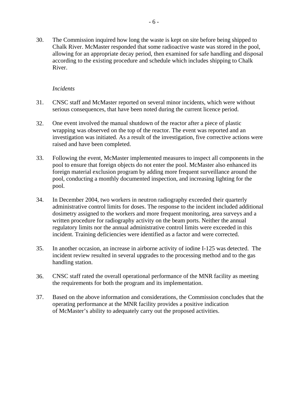30. The Commission inquired how long the waste is kept on site before being shipped to Chalk River. McMaster responded that some radioactive waste was stored in the pool, allowing for an appropriate decay period, then examined for safe handling and disposal according to the existing procedure and schedule which includes shipping to Chalk River.

#### *Incidents*

- 31. CNSC staff and McMaster reported on several minor incidents, which were without serious consequences, that have been noted during the current licence period.
- 32. One event involved the manual shutdown of the reactor after a piece of plastic wrapping was observed on the top of the reactor. The event was reported and an investigation was initiated. As a result of the investigation, five corrective actions were raised and have been completed.
- 33. Following the event, McMaster implemented measures to inspect all components in the pool to ensure that foreign objects do not enter the pool. McMaster also enhanced its foreign material exclusion program by adding more frequent surveillance around the pool, conducting a monthly documented inspection, and increasing lighting for the pool.
- 34. In December 2004, two workers in neutron radiography exceeded their quarterly administrative control limits for doses. The response to the incident included additional dosimetry assigned to the workers and more frequent monitoring, area surveys and a written procedure for radiography activity on the beam ports. Neither the annual regulatory limits nor the annual administrative control limits were exceeded in this incident. Training deficiencies were identified as a factor and were corrected.
- 35. In another occasion, an increase in airborne activity of iodine I-125 was detected. The incident review resulted in several upgrades to the processing method and to the gas handling station.
- 36. CNSC staff rated the overall operational performance of the MNR facility as meeting the requirements for both the program and its implementation.
- 37. Based on the above information and considerations, the Commission concludes that the operating performance at the MNR facility provides a positive indication of McMaster's ability to adequately carry out the proposed activities.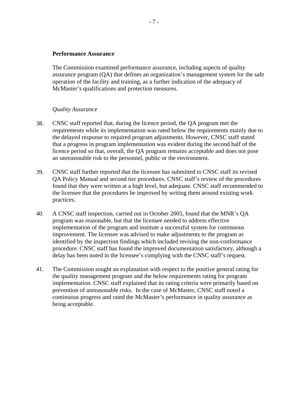#### **Performance Assurance**

The Commission examined performance assurance, including aspects of quality assurance program (QA) that defines an organization's management system for the safe operation of the facility and training, as a further indication of the adequacy of McMaster's qualifications and protection measures.

#### *Quality Assurance*

- 38. CNSC staff reported that, during the licence period, the QA program met the requirements while its implementation was rated below the requirements mainly due to the delayed response to required program adjustments. However, CNSC staff stated that a progress in program implementation was evident during the second half of the licence period so that, overall, the QA program remains acceptable and does not pose an unreasonable risk to the personnel, public or the environment.
- 39. CNSC staff further reported that the licensee has submitted to CNSC staff its revised QA Policy Manual and second tier procedures. CNSC staff's review of the procedures found that they were written at a high level, but adequate. CNSC staff recommended to the licensee that the procedures be improved by writing them around existing work practices.
- 40. A CNSC staff inspection, carried out in October 2005, found that the MNR's QA program was reasonable, but that the licensee needed to address effective implementation of the program and institute a successful system for continuous improvement. The licensee was advised to make adjustments to the program as identified by the inspection findings which included revising the non-conformance procedure. CNSC staff has found the improved documentation satisfactory, although a delay has been noted in the licensee's complying with the CNSC staff's request.
- 41. The Commission sought an explanation with respect to the positive general rating for the quality management program and the below requirements rating for program implementation. CNSC staff explained that its rating criteria were primarily based on prevention of unreasonable risks. In the case of McMaster, CNSC staff noted a continuous progress and rated the McMaster's performance in quality assurance as being acceptable.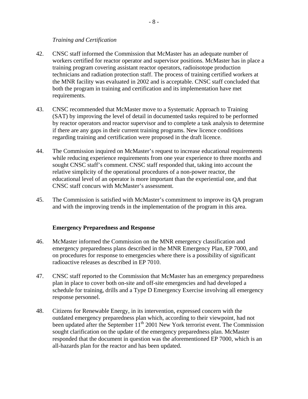#### *Training and Certification*

- 42. CNSC staff informed the Commission that McMaster has an adequate number of workers certified for reactor operator and supervisor positions. McMaster has in place a training program covering assistant reactor operators, radioisotope production technicians and radiation protection staff. The process of training certified workers at the MNR facility was evaluated in 2002 and is acceptable. CNSC staff concluded that both the program in training and certification and its implementation have met requirements.
- 43. CNSC recommended that McMaster move to a Systematic Approach to Training (SAT) by improving the level of detail in documented tasks required to be performed by reactor operators and reactor supervisor and to complete a task analysis to determine if there are any gaps in their current training programs. New licence conditions regarding training and certification were proposed in the draft licence.
- 44. The Commission inquired on McMaster's request to increase educational requirements while reducing experience requirements from one year experience to three months and sought CNSC staff's comment. CNSC staff responded that, taking into account the relative simplicity of the operational procedures of a non-power reactor, the educational level of an operator is more important than the experiential one, and that CNSC staff concurs with McMaster's assessment.
- 45. The Commission is satisfied with McMaster's commitment to improve its QA program and with the improving trends in the implementation of the program in this area.

#### **Emergency Preparedness and Response**

- 46. McMaster informed the Commission on the MNR emergency classification and emergency preparedness plans described in the MNR Emergency Plan, EP 7000, and on procedures for response to emergencies where there is a possibility of significant radioactive releases as described in EP 7010.
- 47. CNSC staff reported to the Commission that McMaster has an emergency preparedness plan in place to cover both on-site and off-site emergencies and had developed a schedule for training, drills and a Type D Emergency Exercise involving all emergency response personnel.
- 48. Citizens for Renewable Energy, in its intervention, expressed concern with the outdated emergency preparedness plan which, according to their viewpoint, had not been updated after the September  $11<sup>th</sup>$  2001 New York terrorist event. The Commission sought clarification on the update of the emergency preparedness plan. McMaster responded that the document in question was the aforementioned EP 7000, which is an all-hazards plan for the reactor and has been updated.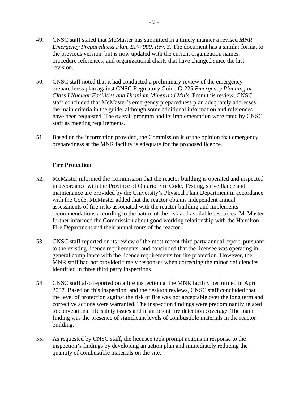- 49. CNSC staff stated that McMaster has submitted in a timely manner a revised *MNR Emergency Preparedness Plan, EP-7000, Rev. 3*. The document has a similar format to the previous version, but is now updated with the current organization names, procedure references, and organizational charts that have changed since the last revision.
- 50. CNSC staff noted that it had conducted a preliminary review of the emergency preparedness plan against CNSC Regulatory Guide G-225 *Emergency Planning at Class I Nuclear Facilities and Uranium Mines and Mills*. From this review, CNSC staff concluded that McMaster's emergency preparedness plan adequately addresses the main criteria in the guide, although some additional information and references have been requested. The overall program and its implementation were rated by CNSC staff as meeting requirements.
- 51. Based on the information provided, the Commission is of the opinion that emergency preparedness at the MNR facility is adequate for the proposed licence.

## **Fire Protection**

- 52. McMaster informed the Commission that the reactor building is operated and inspected in accordance with the Province of Ontario Fire Code. Testing, surveillance and maintenance are provided by the University's Physical Plant Department in accordance with the Code. McMaster added that the reactor obtains independent annual assessments of fire risks associated with the reactor building and implements recommendations according to the nature of the risk and available resources. McMaster further informed the Commission about good working relationship with the Hamilton Fire Department and their annual tours of the reactor.
- 53. CNSC staff reported on its review of the most recent third party annual report, pursuant to the existing licence requirements, and concluded that the licensee was operating in general compliance with the licence requirements for fire protection. However, the MNR staff had not provided timely responses when correcting the minor deficiencies identified in three third party inspections.
- 54. CNSC staff also reported on a fire inspection at the MNR facility performed in April 2007. Based on this inspection, and the desktop reviews, CNSC staff concluded that the level of protection against the risk of fire was not acceptable over the long term and corrective actions were warranted. The inspection findings were predominantly related to conventional life safety issues and insufficient fire detection coverage. The main finding was the presence of significant levels of combustible materials in the reactor building.
- 55. As requested by CNSC staff, the licensee took prompt actions in response to the inspection's findings by developing an action plan and immediately reducing the quantity of combustible materials on the site.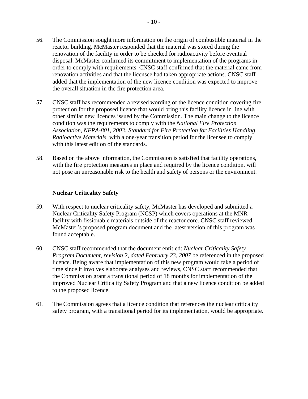- 56. The Commission sought more information on the origin of combustible material in the reactor building. McMaster responded that the material was stored during the renovation of the facility in order to be checked for radioactivity before eventual disposal. McMaster confirmed its commitment to implementation of the programs in order to comply with requirements. CNSC staff confirmed that the material came from renovation activities and that the licensee had taken appropriate actions. CNSC staff added that the implementation of the new licence condition was expected to improve the overall situation in the fire protection area.
- 57. CNSC staff has recommended a revised wording of the licence condition covering fire protection for the proposed licence that would bring this facility licence in line with other similar new licences issued by the Commission. The main change to the licence condition was the requirements to comply with the *National Fire Protection Association*, *NFPA-801, 2003: Standard for Fire Protection for Facilities Handling Radioactive Materials*, with a one-year transition period for the licensee to comply with this latest edition of the standards.
- 58. Based on the above information, the Commission is satisfied that facility operations, with the fire protection measures in place and required by the licence condition, will not pose an unreasonable risk to the health and safety of persons or the environment.

#### **Nuclear Criticality Safety**

- 59. With respect to nuclear criticality safety, McMaster has developed and submitted a Nuclear Criticality Safety Program (NCSP) which covers operations at the MNR facility with fissionable materials outside of the reactor core. CNSC staff reviewed McMaster's proposed program document and the latest version of this program was found acceptable.
- 60. CNSC staff recommended that the document entitled: *Nuclear Criticality Safety Program Document, revision 2, dated February 23, 2007* be referenced in the proposed licence. Being aware that implementation of this new program would take a period of time since it involves elaborate analyses and reviews, CNSC staff recommended that the Commission grant a transitional period of 18 months for implementation of the improved Nuclear Criticality Safety Program and that a new licence condition be added to the proposed licence.
- 61. The Commission agrees that a licence condition that references the nuclear criticality safety program, with a transitional period for its implementation, would be appropriate.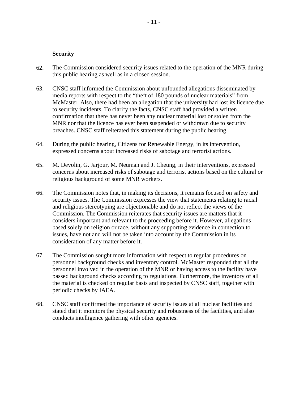#### **Security**

- 62. The Commission considered security issues related to the operation of the MNR during this public hearing as well as in a closed session.
- 63. CNSC staff informed the Commission about unfounded allegations disseminated by media reports with respect to the "theft of 180 pounds of nuclear materials" from McMaster. Also, there had been an allegation that the university had lost its licence due to security incidents. To clarify the facts, CNSC staff had provided a written confirmation that there has never been any nuclear material lost or stolen from the MNR nor that the licence has ever been suspended or withdrawn due to security breaches. CNSC staff reiterated this statement during the public hearing.
- 64. During the public hearing, Citizens for Renewable Energy, in its intervention, expressed concerns about increased risks of sabotage and terrorist actions.
- 65. M. Devolin, G. Jarjour, M. Neuman and J. Cheung, in their interventions, expressed concerns about increased risks of sabotage and terrorist actions based on the cultural or religious background of some MNR workers.
- 66. The Commission notes that, in making its decisions, it remains focused on safety and security issues. The Commission expresses the view that statements relating to racial and religious stereotyping are objectionable and do not reflect the views of the Commission. The Commission reiterates that security issues are matters that it considers important and relevant to the proceeding before it. However, allegations based solely on religion or race, without any supporting evidence in connection to issues, have not and will not be taken into account by the Commission in its consideration of any matter before it.
- 67. The Commission sought more information with respect to regular procedures on personnel background checks and inventory control. McMaster responded that all the personnel involved in the operation of the MNR or having access to the facility have passed background checks according to regulations. Furthermore, the inventory of all the material is checked on regular basis and inspected by CNSC staff, together with periodic checks by IAEA.
- 68. CNSC staff confirmed the importance of security issues at all nuclear facilities and stated that it monitors the physical security and robustness of the facilities, and also conducts intelligence gathering with other agencies.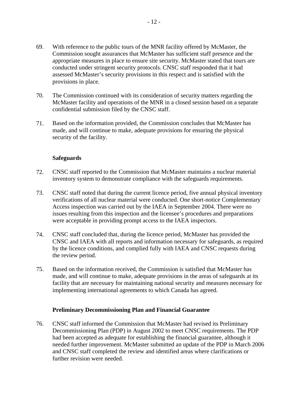- 69. With reference to the public tours of the MNR facility offered by McMaster, the Commission sought assurances that McMaster has sufficient staff presence and the appropriate measures in place to ensure site security. McMaster stated that tours are conducted under stringent security protocols. CNSC staff responded that it had assessed McMaster's security provisions in this respect and is satisfied with the provisions in place.
- 70. The Commission continued with its consideration of security matters regarding the McMaster facility and operations of the MNR in a closed session based on a separate confidential submission filed by the CNSC staff.
- 71. Based on the information provided, the Commission concludes that McMaster has made, and will continue to make, adequate provisions for ensuring the physical security of the facility.

#### **Safeguards**

- 72. CNSC staff reported to the Commission that McMaster maintains a nuclear material inventory system to demonstrate compliance with the safeguards requirements.
- 73. CNSC staff noted that during the current licence period, five annual physical inventory verifications of all nuclear material were conducted. One short-notice Complementary Access inspection was carried out by the IAEA in September 2004. There were no issues resulting from this inspection and the licensee's procedures and preparations were acceptable in providing prompt access to the IAEA inspectors.
- 74. CNSC staff concluded that, during the licence period, McMaster has provided the CNSC and IAEA with all reports and information necessary for safeguards, as required by the licence conditions, and complied fully with IAEA and CNSC requests during the review period.
- 75. Based on the information received, the Commission is satisfied that McMaster has made, and will continue to make, adequate provisions in the areas of safeguards at its facility that are necessary for maintaining national security and measures necessary for implementing international agreements to which Canada has agreed.

#### **Preliminary Decommissioning Plan and Financial Guarantee**

76. CNSC staff informed the Commission that McMaster had revised its Preliminary Decommissioning Plan (PDP) in August 2002 to meet CNSC requirements. The PDP had been accepted as adequate for establishing the financial guarantee, although it needed further improvement. McMaster submitted an update of the PDP in March 2006 and CNSC staff completed the review and identified areas where clarifications or further revision were needed.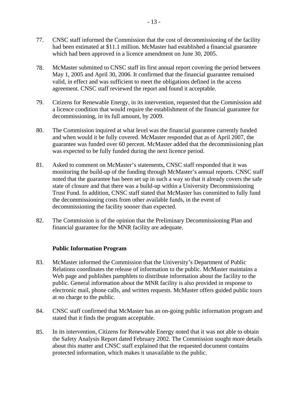- 77. CNSC staff informed the Commission that the cost of decommissioning of the facility had been estimated at \$11.1 million. McMaster had established a financial guarantee which had been approved in a licence amendment on June 30, 2005.
- 78. McMaster submitted to CNSC staff its first annual report covering the period between May 1, 2005 and April 30, 2006. It confirmed that the financial guarantee remained valid, in effect and was sufficient to meet the obligations defined in the access agreement. CNSC staff reviewed the report and found it acceptable.
- 79. Citizens for Renewable Energy, in its intervention, requested that the Commission add a licence condition that would require the establishment of the financial guarantee for decommissioning, in its full amount, by 2009.
- 80. The Commission inquired at what level was the financial guarantee currently funded and when would it be fully covered. McMaster responded that as of April 2007, the guarantee was funded over 60 percent. McMaster added that the decommissioning plan was expected to be fully funded during the next licence period.
- 81. Asked to comment on McMaster's statements, CNSC staff responded that it was monitoring the build-up of the funding through McMaster's annual reports. CNSC staff noted that the guarantee has been set up in such a way so that it already covers the safe state of closure and that there was a build-up within a University Decommissioning Trust Fund. In addition, CNSC staff stated that McMaster has committed to fully fund the decommissioning costs from other available funds, in the event of decommissioning the facility sooner than expected.
- 82. The Commission is of the opinion that the Preliminary Decommissioning Plan and financial guarantee for the MNR facility are adequate.

## **Public Information Program**

- 83. McMaster informed the Commission that the University's Department of Public Relations coordinates the release of information to the public. McMaster maintains a Web page and publishes pamphlets to distribute information about the facility to the public. General information about the MNR facility is also provided in response to electronic mail, phone calls, and written requests. McMaster offers guided public tours at no charge to the public.
- 84. CNSC staff confirmed that McMaster has an on-going public information program and stated that it finds the program acceptable.
- 85. In its intervention, Citizens for Renewable Energy noted that it was not able to obtain the Safety Analysis Report dated February 2002. The Commission sought more details about this matter and CNSC staff explained that the requested document contains protected information, which makes it unavailable to the public.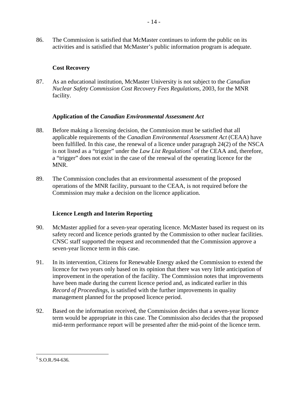86. The Commission is satisfied that McMaster continues to inform the public on its activities and is satisfied that McMaster's public information program is adequate.

## **Cost Recovery**

87. As an educational institution, McMaster University is not subject to the *Canadian Nuclear Safety Commission Cost Recovery Fees Regulations*, 2003, for the MNR facility.

## **Application of the** *Canadian Environmental Assessment Act*

- 88. Before making a licensing decision, the Commission must be satisfied that all applicable requirements of the *Canadian Environmental Assessment Act* (CEAA) have been fulfilled. In this case, the renewal of a licence under paragraph 24(2) of the NSCA is not listed as a "trigger" under the *Law List Regulations*<sup>5</sup> of the CEAA and, therefore, a "trigger" does not exist in the case of the renewal of the operating licence for the MNR.
- 89. The Commission concludes that an environmental assessment of the proposed operations of the MNR facility, pursuant to the CEAA, is not required before the Commission may make a decision on the licence application.

# **Licence Length and Interim Reporting**

- 90. McMaster applied for a seven-year operating licence. McMaster based its request on its safety record and licence periods granted by the Commission to other nuclear facilities. CNSC staff supported the request and recommended that the Commission approve a seven-year licence term in this case.
- 91. In its intervention, Citizens for Renewable Energy asked the Commission to extend the licence for two years only based on its opinion that there was very little anticipation of improvement in the operation of the facility. The Commission notes that improvements have been made during the current licence period and, as indicated earlier in this *Record of Proceedings*, is satisfied with the further improvements in quality management planned for the proposed licence period.
- 92. Based on the information received, the Commission decides that a seven-year licence term would be appropriate in this case. The Commission also decides that the proposed mid-term performance report will be presented after the mid-point of the licence term.

 $5$  S.O.R./94-636.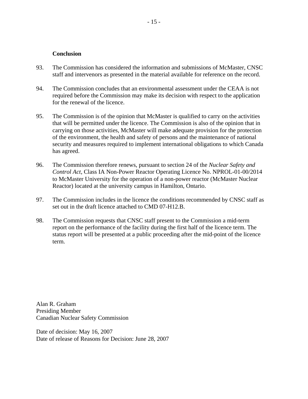#### **Conclusion**

- 93. The Commission has considered the information and submissions of McMaster, CNSC staff and intervenors as presented in the material available for reference on the record.
- 94. The Commission concludes that an environmental assessment under the CEAA is not required before the Commission may make its decision with respect to the application for the renewal of the licence.
- 95. The Commission is of the opinion that McMaster is qualified to carry on the activities that will be permitted under the licence. The Commission is also of the opinion that in carrying on those activities, McMaster will make adequate provision for the protection of the environment, the health and safety of persons and the maintenance of national security and measures required to implement international obligations to which Canada has agreed.
- 96. The Commission therefore renews, pursuant to section 24 of the *Nuclear Safety and Control Act*, Class IA Non-Power Reactor Operating Licence No. NPROL-01-00/2014 to McMaster University for the operation of a non-power reactor (McMaster Nuclear Reactor) located at the university campus in Hamilton, Ontario.
- 97. The Commission includes in the licence the conditions recommended by CNSC staff as set out in the draft licence attached to CMD 07-H12.B.
- 98. The Commission requests that CNSC staff present to the Commission a mid-term report on the performance of the facility during the first half of the licence term. The status report will be presented at a public proceeding after the mid-point of the licence term.

Alan R. Graham Presiding Member Canadian Nuclear Safety Commission

Date of decision: May 16, 2007 Date of release of Reasons for Decision: June 28, 2007